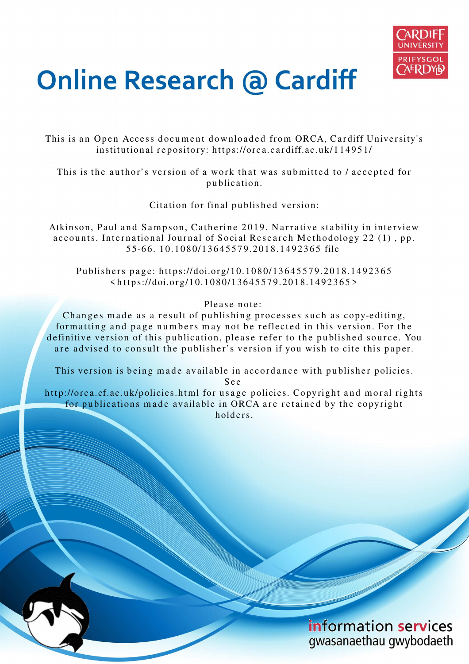

# **Online Research @ Cardiff**

This is an Open Access document downloaded from ORCA, Cardiff University's institutional repository: https://orca.cardiff.ac.uk/114951/

This is the author's version of a work that was submitted to / accepted for p u blication.

Citation for final published version:

Atkinson, Paul and Sampson, Catherine 2019. Narrative stability in interview accounts. International Journal of Social Research Methodology 22 (1), pp. 55-66. 10.1080/13645579.2018.1492365 file

Publishers page: https://doi.org/10.1080/13645579.2018.1492365  $\langle$ https://doi.org/10.1080/13645579.2018.1492365>

Please note:

Changes made as a result of publishing processes such as copy-editing, formatting and page numbers may not be reflected in this version. For the definitive version of this publication, please refer to the published source. You are advised to consult the publisher's version if you wish to cite this paper.

This version is being made available in accordance with publisher policies.

S e e

http://orca.cf.ac.uk/policies.html for usage policies. Copyright and moral rights for publications made available in ORCA are retained by the copyright holders.

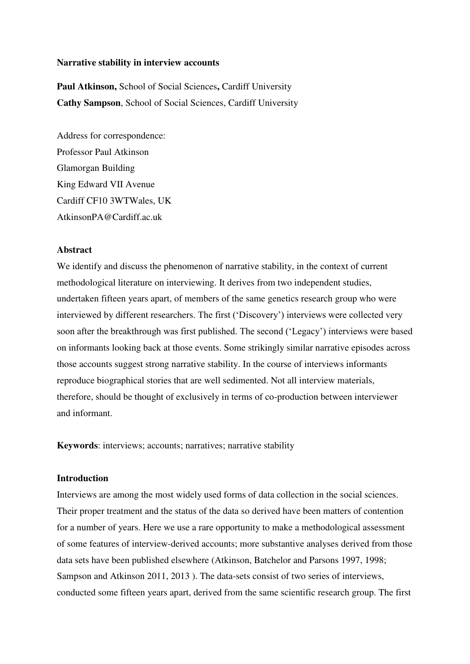# **Narrative stability in interview accounts**

**Paul Atkinson,** School of Social Sciences**,** Cardiff University **Cathy Sampson**, School of Social Sciences, Cardiff University

Address for correspondence: Professor Paul Atkinson Glamorgan Building King Edward VII Avenue Cardiff CF10 3WTWales, UK AtkinsonPA@Cardiff.ac.uk

# **Abstract**

We identify and discuss the phenomenon of narrative stability, in the context of current methodological literature on interviewing. It derives from two independent studies, undertaken fifteen years apart, of members of the same genetics research group who were interviewed by different researchers. The first ('Discovery') interviews were collected very soon after the breakthrough was first published. The second ('Legacy') interviews were based on informants looking back at those events. Some strikingly similar narrative episodes across those accounts suggest strong narrative stability. In the course of interviews informants reproduce biographical stories that are well sedimented. Not all interview materials, therefore, should be thought of exclusively in terms of co-production between interviewer and informant.

**Keywords**: interviews; accounts; narratives; narrative stability

# **Introduction**

Interviews are among the most widely used forms of data collection in the social sciences. Their proper treatment and the status of the data so derived have been matters of contention for a number of years. Here we use a rare opportunity to make a methodological assessment of some features of interview-derived accounts; more substantive analyses derived from those data sets have been published elsewhere (Atkinson, Batchelor and Parsons 1997, 1998; Sampson and Atkinson 2011, 2013 ). The data-sets consist of two series of interviews, conducted some fifteen years apart, derived from the same scientific research group. The first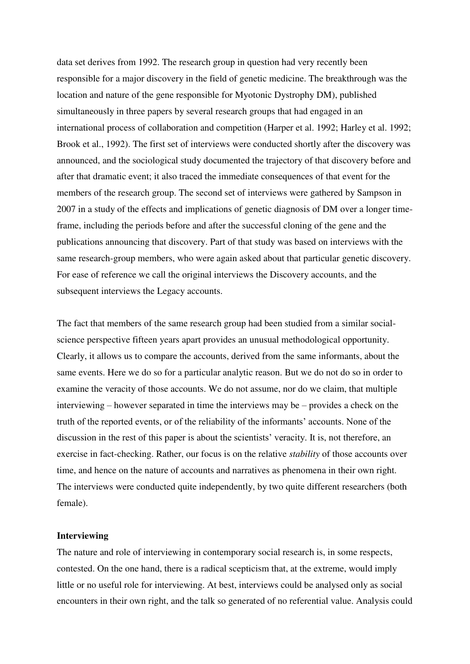data set derives from 1992. The research group in question had very recently been responsible for a major discovery in the field of genetic medicine. The breakthrough was the location and nature of the gene responsible for Myotonic Dystrophy DM), published simultaneously in three papers by several research groups that had engaged in an international process of collaboration and competition (Harper et al. 1992; Harley et al. 1992; Brook et al., 1992). The first set of interviews were conducted shortly after the discovery was announced, and the sociological study documented the trajectory of that discovery before and after that dramatic event; it also traced the immediate consequences of that event for the members of the research group. The second set of interviews were gathered by Sampson in 2007 in a study of the effects and implications of genetic diagnosis of DM over a longer timeframe, including the periods before and after the successful cloning of the gene and the publications announcing that discovery. Part of that study was based on interviews with the same research-group members, who were again asked about that particular genetic discovery. For ease of reference we call the original interviews the Discovery accounts, and the subsequent interviews the Legacy accounts.

The fact that members of the same research group had been studied from a similar socialscience perspective fifteen years apart provides an unusual methodological opportunity. Clearly, it allows us to compare the accounts, derived from the same informants, about the same events. Here we do so for a particular analytic reason. But we do not do so in order to examine the veracity of those accounts. We do not assume, nor do we claim, that multiple interviewing – however separated in time the interviews may be – provides a check on the truth of the reported events, or of the reliability of the informants' accounts. None of the discussion in the rest of this paper is about the scientists' veracity. It is, not therefore, an exercise in fact-checking. Rather, our focus is on the relative *stability* of those accounts over time, and hence on the nature of accounts and narratives as phenomena in their own right. The interviews were conducted quite independently, by two quite different researchers (both female).

# **Interviewing**

The nature and role of interviewing in contemporary social research is, in some respects, contested. On the one hand, there is a radical scepticism that, at the extreme, would imply little or no useful role for interviewing. At best, interviews could be analysed only as social encounters in their own right, and the talk so generated of no referential value. Analysis could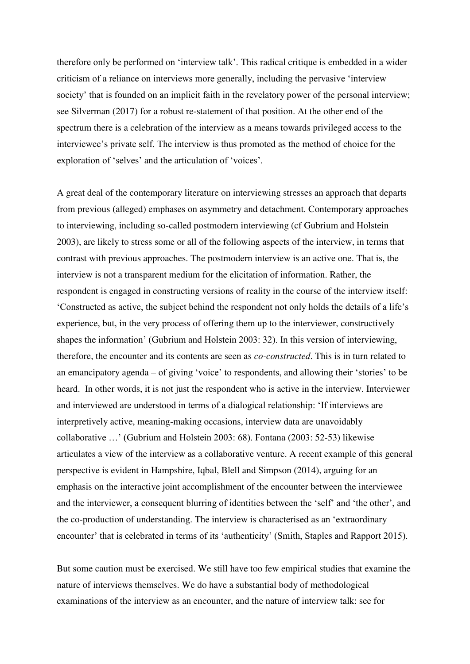therefore only be performed on 'interview talk'. This radical critique is embedded in a wider criticism of a reliance on interviews more generally, including the pervasive 'interview society' that is founded on an implicit faith in the revelatory power of the personal interview; see Silverman (2017) for a robust re-statement of that position. At the other end of the spectrum there is a celebration of the interview as a means towards privileged access to the interviewee's private self. The interview is thus promoted as the method of choice for the exploration of 'selves' and the articulation of 'voices'.

A great deal of the contemporary literature on interviewing stresses an approach that departs from previous (alleged) emphases on asymmetry and detachment. Contemporary approaches to interviewing, including so-called postmodern interviewing (cf Gubrium and Holstein 2003), are likely to stress some or all of the following aspects of the interview, in terms that contrast with previous approaches. The postmodern interview is an active one. That is, the interview is not a transparent medium for the elicitation of information. Rather, the respondent is engaged in constructing versions of reality in the course of the interview itself: 'Constructed as active, the subject behind the respondent not only holds the details of a life's experience, but, in the very process of offering them up to the interviewer, constructively shapes the information' (Gubrium and Holstein 2003: 32). In this version of interviewing, therefore, the encounter and its contents are seen as *co-constructed*. This is in turn related to an emancipatory agenda – of giving 'voice' to respondents, and allowing their 'stories' to be heard. In other words, it is not just the respondent who is active in the interview. Interviewer and interviewed are understood in terms of a dialogical relationship: 'If interviews are interpretively active, meaning-making occasions, interview data are unavoidably collaborative …' (Gubrium and Holstein 2003: 68). Fontana (2003: 52-53) likewise articulates a view of the interview as a collaborative venture. A recent example of this general perspective is evident in Hampshire, Iqbal, Blell and Simpson (2014), arguing for an emphasis on the interactive joint accomplishment of the encounter between the interviewee and the interviewer, a consequent blurring of identities between the 'self' and 'the other', and the co-production of understanding. The interview is characterised as an 'extraordinary encounter' that is celebrated in terms of its 'authenticity' (Smith, Staples and Rapport 2015).

But some caution must be exercised. We still have too few empirical studies that examine the nature of interviews themselves. We do have a substantial body of methodological examinations of the interview as an encounter, and the nature of interview talk: see for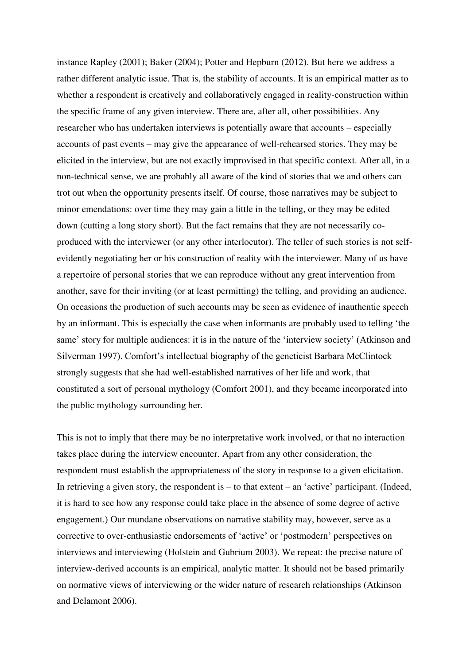instance Rapley (2001); Baker (2004); Potter and Hepburn (2012). But here we address a rather different analytic issue. That is, the stability of accounts. It is an empirical matter as to whether a respondent is creatively and collaboratively engaged in reality-construction within the specific frame of any given interview. There are, after all, other possibilities. Any researcher who has undertaken interviews is potentially aware that accounts – especially accounts of past events – may give the appearance of well-rehearsed stories. They may be elicited in the interview, but are not exactly improvised in that specific context. After all, in a non-technical sense, we are probably all aware of the kind of stories that we and others can trot out when the opportunity presents itself. Of course, those narratives may be subject to minor emendations: over time they may gain a little in the telling, or they may be edited down (cutting a long story short). But the fact remains that they are not necessarily coproduced with the interviewer (or any other interlocutor). The teller of such stories is not selfevidently negotiating her or his construction of reality with the interviewer. Many of us have a repertoire of personal stories that we can reproduce without any great intervention from another, save for their inviting (or at least permitting) the telling, and providing an audience. On occasions the production of such accounts may be seen as evidence of inauthentic speech by an informant. This is especially the case when informants are probably used to telling 'the same' story for multiple audiences: it is in the nature of the 'interview society' (Atkinson and Silverman 1997). Comfort's intellectual biography of the geneticist Barbara McClintock strongly suggests that she had well-established narratives of her life and work, that constituted a sort of personal mythology (Comfort 2001), and they became incorporated into the public mythology surrounding her.

This is not to imply that there may be no interpretative work involved, or that no interaction takes place during the interview encounter. Apart from any other consideration, the respondent must establish the appropriateness of the story in response to a given elicitation. In retrieving a given story, the respondent is  $-$  to that extent  $-$  an 'active' participant. (Indeed, it is hard to see how any response could take place in the absence of some degree of active engagement.) Our mundane observations on narrative stability may, however, serve as a corrective to over-enthusiastic endorsements of 'active' or 'postmodern' perspectives on interviews and interviewing (Holstein and Gubrium 2003). We repeat: the precise nature of interview-derived accounts is an empirical, analytic matter. It should not be based primarily on normative views of interviewing or the wider nature of research relationships (Atkinson and Delamont 2006).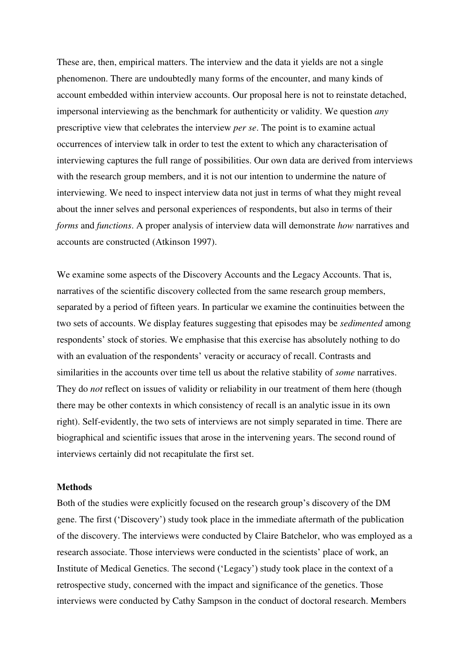These are, then, empirical matters. The interview and the data it yields are not a single phenomenon. There are undoubtedly many forms of the encounter, and many kinds of account embedded within interview accounts. Our proposal here is not to reinstate detached, impersonal interviewing as the benchmark for authenticity or validity. We question *any* prescriptive view that celebrates the interview *per se*. The point is to examine actual occurrences of interview talk in order to test the extent to which any characterisation of interviewing captures the full range of possibilities. Our own data are derived from interviews with the research group members, and it is not our intention to undermine the nature of interviewing. We need to inspect interview data not just in terms of what they might reveal about the inner selves and personal experiences of respondents, but also in terms of their *forms* and *functions*. A proper analysis of interview data will demonstrate *how* narratives and accounts are constructed (Atkinson 1997).

We examine some aspects of the Discovery Accounts and the Legacy Accounts. That is, narratives of the scientific discovery collected from the same research group members, separated by a period of fifteen years. In particular we examine the continuities between the two sets of accounts. We display features suggesting that episodes may be *sedimented* among respondents' stock of stories. We emphasise that this exercise has absolutely nothing to do with an evaluation of the respondents' veracity or accuracy of recall. Contrasts and similarities in the accounts over time tell us about the relative stability of *some* narratives. They do *not* reflect on issues of validity or reliability in our treatment of them here (though there may be other contexts in which consistency of recall is an analytic issue in its own right). Self-evidently, the two sets of interviews are not simply separated in time. There are biographical and scientific issues that arose in the intervening years. The second round of interviews certainly did not recapitulate the first set.

# **Methods**

Both of the studies were explicitly focused on the research group's discovery of the DM gene. The first ('Discovery') study took place in the immediate aftermath of the publication of the discovery. The interviews were conducted by Claire Batchelor, who was employed as a research associate. Those interviews were conducted in the scientists' place of work, an Institute of Medical Genetics. The second ('Legacy') study took place in the context of a retrospective study, concerned with the impact and significance of the genetics. Those interviews were conducted by Cathy Sampson in the conduct of doctoral research. Members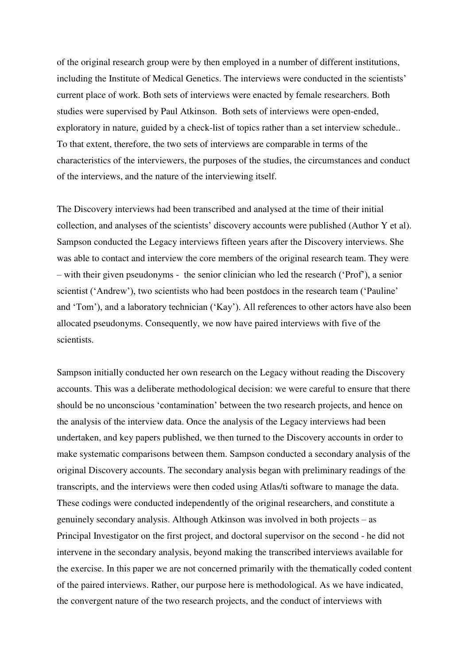of the original research group were by then employed in a number of different institutions, including the Institute of Medical Genetics. The interviews were conducted in the scientists' current place of work. Both sets of interviews were enacted by female researchers. Both studies were supervised by Paul Atkinson. Both sets of interviews were open-ended, exploratory in nature, guided by a check-list of topics rather than a set interview schedule.. To that extent, therefore, the two sets of interviews are comparable in terms of the characteristics of the interviewers, the purposes of the studies, the circumstances and conduct of the interviews, and the nature of the interviewing itself.

The Discovery interviews had been transcribed and analysed at the time of their initial collection, and analyses of the scientists' discovery accounts were published (Author Y et al). Sampson conducted the Legacy interviews fifteen years after the Discovery interviews. She was able to contact and interview the core members of the original research team. They were – with their given pseudonyms - the senior clinician who led the research ('Prof'), a senior scientist ('Andrew'), two scientists who had been postdocs in the research team ('Pauline' and 'Tom'), and a laboratory technician ('Kay'). All references to other actors have also been allocated pseudonyms. Consequently, we now have paired interviews with five of the scientists.

Sampson initially conducted her own research on the Legacy without reading the Discovery accounts. This was a deliberate methodological decision: we were careful to ensure that there should be no unconscious 'contamination' between the two research projects, and hence on the analysis of the interview data. Once the analysis of the Legacy interviews had been undertaken, and key papers published, we then turned to the Discovery accounts in order to make systematic comparisons between them. Sampson conducted a secondary analysis of the original Discovery accounts. The secondary analysis began with preliminary readings of the transcripts, and the interviews were then coded using Atlas/ti software to manage the data. These codings were conducted independently of the original researchers, and constitute a genuinely secondary analysis. Although Atkinson was involved in both projects – as Principal Investigator on the first project, and doctoral supervisor on the second - he did not intervene in the secondary analysis, beyond making the transcribed interviews available for the exercise. In this paper we are not concerned primarily with the thematically coded content of the paired interviews. Rather, our purpose here is methodological. As we have indicated, the convergent nature of the two research projects, and the conduct of interviews with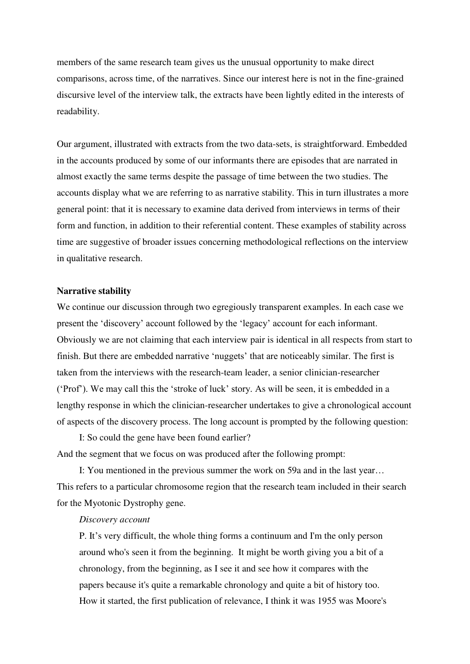members of the same research team gives us the unusual opportunity to make direct comparisons, across time, of the narratives. Since our interest here is not in the fine-grained discursive level of the interview talk, the extracts have been lightly edited in the interests of readability.

Our argument, illustrated with extracts from the two data-sets, is straightforward. Embedded in the accounts produced by some of our informants there are episodes that are narrated in almost exactly the same terms despite the passage of time between the two studies. The accounts display what we are referring to as narrative stability. This in turn illustrates a more general point: that it is necessary to examine data derived from interviews in terms of their form and function, in addition to their referential content. These examples of stability across time are suggestive of broader issues concerning methodological reflections on the interview in qualitative research.

# **Narrative stability**

We continue our discussion through two egregiously transparent examples. In each case we present the 'discovery' account followed by the 'legacy' account for each informant. Obviously we are not claiming that each interview pair is identical in all respects from start to finish. But there are embedded narrative 'nuggets' that are noticeably similar. The first is taken from the interviews with the research-team leader, a senior clinician-researcher ('Prof'). We may call this the 'stroke of luck' story. As will be seen, it is embedded in a lengthy response in which the clinician-researcher undertakes to give a chronological account of aspects of the discovery process. The long account is prompted by the following question:

I: So could the gene have been found earlier? And the segment that we focus on was produced after the following prompt:

I: You mentioned in the previous summer the work on 59a and in the last year… This refers to a particular chromosome region that the research team included in their search for the Myotonic Dystrophy gene.

#### *Discovery account*

P. It's very difficult, the whole thing forms a continuum and I'm the only person around who's seen it from the beginning. It might be worth giving you a bit of a chronology, from the beginning, as I see it and see how it compares with the papers because it's quite a remarkable chronology and quite a bit of history too. How it started, the first publication of relevance, I think it was 1955 was Moore's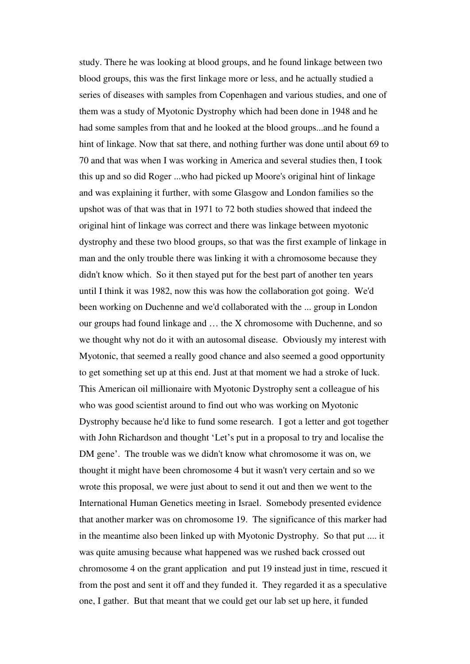study. There he was looking at blood groups, and he found linkage between two blood groups, this was the first linkage more or less, and he actually studied a series of diseases with samples from Copenhagen and various studies, and one of them was a study of Myotonic Dystrophy which had been done in 1948 and he had some samples from that and he looked at the blood groups...and he found a hint of linkage. Now that sat there, and nothing further was done until about 69 to 70 and that was when I was working in America and several studies then, I took this up and so did Roger ...who had picked up Moore's original hint of linkage and was explaining it further, with some Glasgow and London families so the upshot was of that was that in 1971 to 72 both studies showed that indeed the original hint of linkage was correct and there was linkage between myotonic dystrophy and these two blood groups, so that was the first example of linkage in man and the only trouble there was linking it with a chromosome because they didn't know which. So it then stayed put for the best part of another ten years until I think it was 1982, now this was how the collaboration got going. We'd been working on Duchenne and we'd collaborated with the ... group in London our groups had found linkage and … the X chromosome with Duchenne, and so we thought why not do it with an autosomal disease. Obviously my interest with Myotonic, that seemed a really good chance and also seemed a good opportunity to get something set up at this end. Just at that moment we had a stroke of luck. This American oil millionaire with Myotonic Dystrophy sent a colleague of his who was good scientist around to find out who was working on Myotonic Dystrophy because he'd like to fund some research. I got a letter and got together with John Richardson and thought 'Let's put in a proposal to try and localise the DM gene'. The trouble was we didn't know what chromosome it was on, we thought it might have been chromosome 4 but it wasn't very certain and so we wrote this proposal, we were just about to send it out and then we went to the International Human Genetics meeting in Israel. Somebody presented evidence that another marker was on chromosome 19. The significance of this marker had in the meantime also been linked up with Myotonic Dystrophy. So that put .... it was quite amusing because what happened was we rushed back crossed out chromosome 4 on the grant application and put 19 instead just in time, rescued it from the post and sent it off and they funded it. They regarded it as a speculative one, I gather. But that meant that we could get our lab set up here, it funded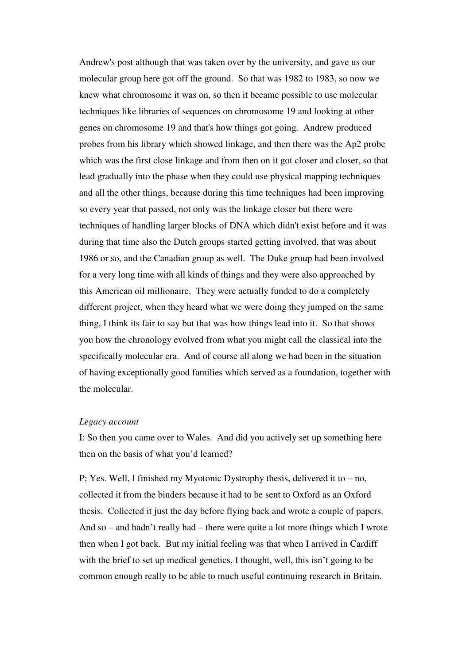Andrew's post although that was taken over by the university, and gave us our molecular group here got off the ground. So that was 1982 to 1983, so now we knew what chromosome it was on, so then it became possible to use molecular techniques like libraries of sequences on chromosome 19 and looking at other genes on chromosome 19 and that's how things got going. Andrew produced probes from his library which showed linkage, and then there was the Ap2 probe which was the first close linkage and from then on it got closer and closer, so that lead gradually into the phase when they could use physical mapping techniques and all the other things, because during this time techniques had been improving so every year that passed, not only was the linkage closer but there were techniques of handling larger blocks of DNA which didn't exist before and it was during that time also the Dutch groups started getting involved, that was about 1986 or so, and the Canadian group as well. The Duke group had been involved for a very long time with all kinds of things and they were also approached by this American oil millionaire. They were actually funded to do a completely different project, when they heard what we were doing they jumped on the same thing, I think its fair to say but that was how things lead into it. So that shows you how the chronology evolved from what you might call the classical into the specifically molecular era. And of course all along we had been in the situation of having exceptionally good families which served as a foundation, together with the molecular.

#### *Legacy account*

I: So then you came over to Wales. And did you actively set up something here then on the basis of what you'd learned?

P; Yes. Well, I finished my Myotonic Dystrophy thesis, delivered it to – no, collected it from the binders because it had to be sent to Oxford as an Oxford thesis. Collected it just the day before flying back and wrote a couple of papers. And so – and hadn't really had – there were quite a lot more things which I wrote then when I got back. But my initial feeling was that when I arrived in Cardiff with the brief to set up medical genetics, I thought, well, this isn't going to be common enough really to be able to much useful continuing research in Britain.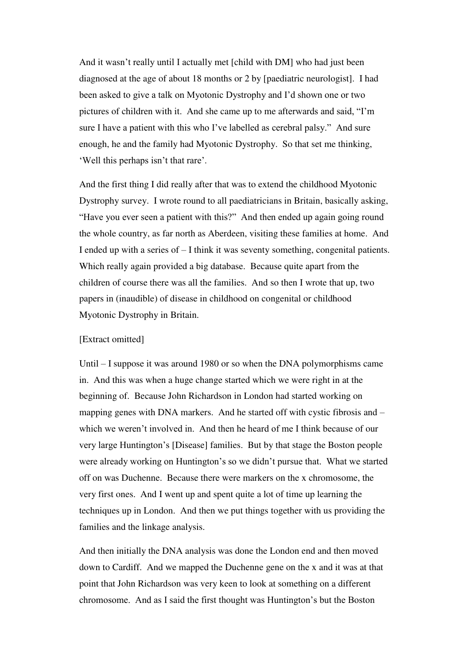And it wasn't really until I actually met [child with DM] who had just been diagnosed at the age of about 18 months or 2 by [paediatric neurologist]. I had been asked to give a talk on Myotonic Dystrophy and I'd shown one or two pictures of children with it. And she came up to me afterwards and said, "I'm sure I have a patient with this who I've labelled as cerebral palsy." And sure enough, he and the family had Myotonic Dystrophy. So that set me thinking, 'Well this perhaps isn't that rare'.

And the first thing I did really after that was to extend the childhood Myotonic Dystrophy survey. I wrote round to all paediatricians in Britain, basically asking, "Have you ever seen a patient with this?" And then ended up again going round the whole country, as far north as Aberdeen, visiting these families at home. And I ended up with a series of – I think it was seventy something, congenital patients. Which really again provided a big database. Because quite apart from the children of course there was all the families. And so then I wrote that up, two papers in (inaudible) of disease in childhood on congenital or childhood Myotonic Dystrophy in Britain.

#### [Extract omitted]

Until – I suppose it was around 1980 or so when the DNA polymorphisms came in. And this was when a huge change started which we were right in at the beginning of. Because John Richardson in London had started working on mapping genes with DNA markers. And he started off with cystic fibrosis and – which we weren't involved in. And then he heard of me I think because of our very large Huntington's [Disease] families. But by that stage the Boston people were already working on Huntington's so we didn't pursue that. What we started off on was Duchenne. Because there were markers on the x chromosome, the very first ones. And I went up and spent quite a lot of time up learning the techniques up in London. And then we put things together with us providing the families and the linkage analysis.

And then initially the DNA analysis was done the London end and then moved down to Cardiff. And we mapped the Duchenne gene on the x and it was at that point that John Richardson was very keen to look at something on a different chromosome. And as I said the first thought was Huntington's but the Boston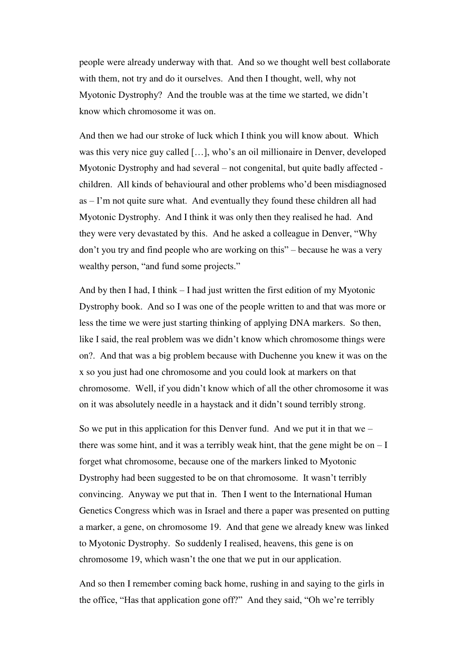people were already underway with that. And so we thought well best collaborate with them, not try and do it ourselves. And then I thought, well, why not Myotonic Dystrophy? And the trouble was at the time we started, we didn't know which chromosome it was on.

And then we had our stroke of luck which I think you will know about. Which was this very nice guy called […], who's an oil millionaire in Denver, developed Myotonic Dystrophy and had several – not congenital, but quite badly affected children. All kinds of behavioural and other problems who'd been misdiagnosed as – I'm not quite sure what. And eventually they found these children all had Myotonic Dystrophy. And I think it was only then they realised he had. And they were very devastated by this. And he asked a colleague in Denver, "Why don't you try and find people who are working on this" – because he was a very wealthy person, "and fund some projects."

And by then I had, I think – I had just written the first edition of my Myotonic Dystrophy book. And so I was one of the people written to and that was more or less the time we were just starting thinking of applying DNA markers. So then, like I said, the real problem was we didn't know which chromosome things were on?. And that was a big problem because with Duchenne you knew it was on the x so you just had one chromosome and you could look at markers on that chromosome. Well, if you didn't know which of all the other chromosome it was on it was absolutely needle in a haystack and it didn't sound terribly strong.

So we put in this application for this Denver fund. And we put it in that we  $$ there was some hint, and it was a terribly weak hint, that the gene might be on  $-I$ forget what chromosome, because one of the markers linked to Myotonic Dystrophy had been suggested to be on that chromosome. It wasn't terribly convincing. Anyway we put that in. Then I went to the International Human Genetics Congress which was in Israel and there a paper was presented on putting a marker, a gene, on chromosome 19. And that gene we already knew was linked to Myotonic Dystrophy. So suddenly I realised, heavens, this gene is on chromosome 19, which wasn't the one that we put in our application.

And so then I remember coming back home, rushing in and saying to the girls in the office, "Has that application gone off?" And they said, "Oh we're terribly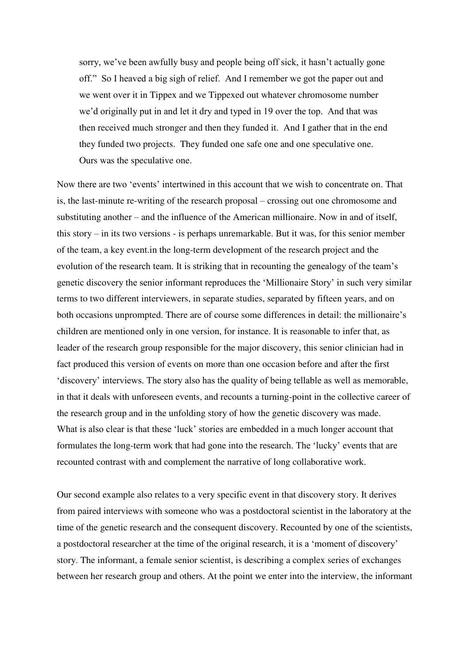sorry, we've been awfully busy and people being off sick, it hasn't actually gone off." So I heaved a big sigh of relief. And I remember we got the paper out and we went over it in Tippex and we Tippexed out whatever chromosome number we'd originally put in and let it dry and typed in 19 over the top. And that was then received much stronger and then they funded it. And I gather that in the end they funded two projects. They funded one safe one and one speculative one. Ours was the speculative one.

Now there are two 'events' intertwined in this account that we wish to concentrate on. That is, the last-minute re-writing of the research proposal – crossing out one chromosome and substituting another – and the influence of the American millionaire. Now in and of itself, this story – in its two versions - is perhaps unremarkable. But it was, for this senior member of the team, a key event.in the long-term development of the research project and the evolution of the research team. It is striking that in recounting the genealogy of the team's genetic discovery the senior informant reproduces the 'Millionaire Story' in such very similar terms to two different interviewers, in separate studies, separated by fifteen years, and on both occasions unprompted. There are of course some differences in detail: the millionaire's children are mentioned only in one version, for instance. It is reasonable to infer that, as leader of the research group responsible for the major discovery, this senior clinician had in fact produced this version of events on more than one occasion before and after the first 'discovery' interviews. The story also has the quality of being tellable as well as memorable, in that it deals with unforeseen events, and recounts a turning-point in the collective career of the research group and in the unfolding story of how the genetic discovery was made. What is also clear is that these 'luck' stories are embedded in a much longer account that formulates the long-term work that had gone into the research. The 'lucky' events that are recounted contrast with and complement the narrative of long collaborative work.

Our second example also relates to a very specific event in that discovery story. It derives from paired interviews with someone who was a postdoctoral scientist in the laboratory at the time of the genetic research and the consequent discovery. Recounted by one of the scientists, a postdoctoral researcher at the time of the original research, it is a 'moment of discovery' story. The informant, a female senior scientist, is describing a complex series of exchanges between her research group and others. At the point we enter into the interview, the informant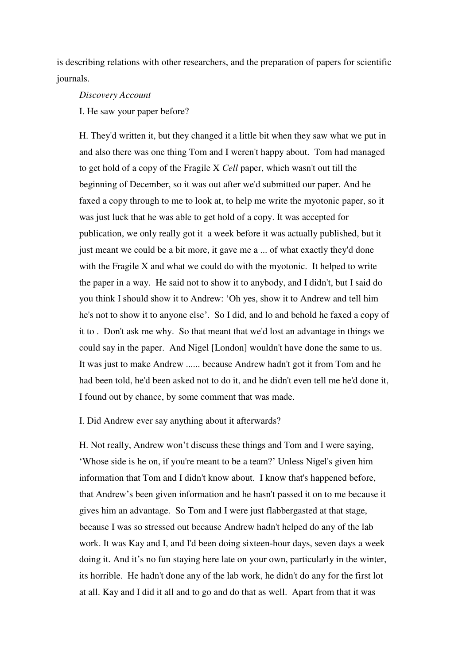is describing relations with other researchers, and the preparation of papers for scientific journals.

# *Discovery Account*  I. He saw your paper before?

H. They'd written it, but they changed it a little bit when they saw what we put in and also there was one thing Tom and I weren't happy about. Tom had managed to get hold of a copy of the Fragile X *Cell* paper, which wasn't out till the beginning of December, so it was out after we'd submitted our paper. And he faxed a copy through to me to look at, to help me write the myotonic paper, so it was just luck that he was able to get hold of a copy. It was accepted for publication, we only really got it a week before it was actually published, but it just meant we could be a bit more, it gave me a ... of what exactly they'd done with the Fragile X and what we could do with the myotonic. It helped to write the paper in a way. He said not to show it to anybody, and I didn't, but I said do you think I should show it to Andrew: 'Oh yes, show it to Andrew and tell him he's not to show it to anyone else'. So I did, and lo and behold he faxed a copy of it to . Don't ask me why. So that meant that we'd lost an advantage in things we could say in the paper. And Nigel [London] wouldn't have done the same to us. It was just to make Andrew ...... because Andrew hadn't got it from Tom and he had been told, he'd been asked not to do it, and he didn't even tell me he'd done it, I found out by chance, by some comment that was made.

# I. Did Andrew ever say anything about it afterwards?

H. Not really, Andrew won't discuss these things and Tom and I were saying, 'Whose side is he on, if you're meant to be a team?' Unless Nigel's given him information that Tom and I didn't know about. I know that's happened before, that Andrew's been given information and he hasn't passed it on to me because it gives him an advantage. So Tom and I were just flabbergasted at that stage, because I was so stressed out because Andrew hadn't helped do any of the lab work. It was Kay and I, and I'd been doing sixteen-hour days, seven days a week doing it. And it's no fun staying here late on your own, particularly in the winter, its horrible. He hadn't done any of the lab work, he didn't do any for the first lot at all. Kay and I did it all and to go and do that as well. Apart from that it was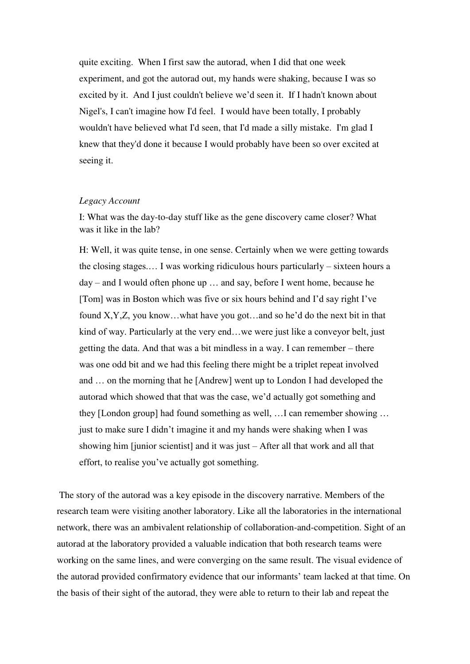quite exciting. When I first saw the autorad, when I did that one week experiment, and got the autorad out, my hands were shaking, because I was so excited by it. And I just couldn't believe we'd seen it. If I hadn't known about Nigel's, I can't imagine how I'd feel. I would have been totally, I probably wouldn't have believed what I'd seen, that I'd made a silly mistake. I'm glad I knew that they'd done it because I would probably have been so over excited at seeing it.

#### *Legacy Account*

I: What was the day-to-day stuff like as the gene discovery came closer? What was it like in the lab?

H: Well, it was quite tense, in one sense. Certainly when we were getting towards the closing stages.… I was working ridiculous hours particularly – sixteen hours a  $day - and I$  would often phone up  $\ldots$  and say, before I went home, because he [Tom] was in Boston which was five or six hours behind and I'd say right I've found X,Y,Z, you know…what have you got…and so he'd do the next bit in that kind of way. Particularly at the very end…we were just like a conveyor belt, just getting the data. And that was a bit mindless in a way. I can remember – there was one odd bit and we had this feeling there might be a triplet repeat involved and … on the morning that he [Andrew] went up to London I had developed the autorad which showed that that was the case, we'd actually got something and they [London group] had found something as well, …I can remember showing … just to make sure I didn't imagine it and my hands were shaking when I was showing him [junior scientist] and it was just – After all that work and all that effort, to realise you've actually got something.

The story of the autorad was a key episode in the discovery narrative. Members of the research team were visiting another laboratory. Like all the laboratories in the international network, there was an ambivalent relationship of collaboration-and-competition. Sight of an autorad at the laboratory provided a valuable indication that both research teams were working on the same lines, and were converging on the same result. The visual evidence of the autorad provided confirmatory evidence that our informants' team lacked at that time. On the basis of their sight of the autorad, they were able to return to their lab and repeat the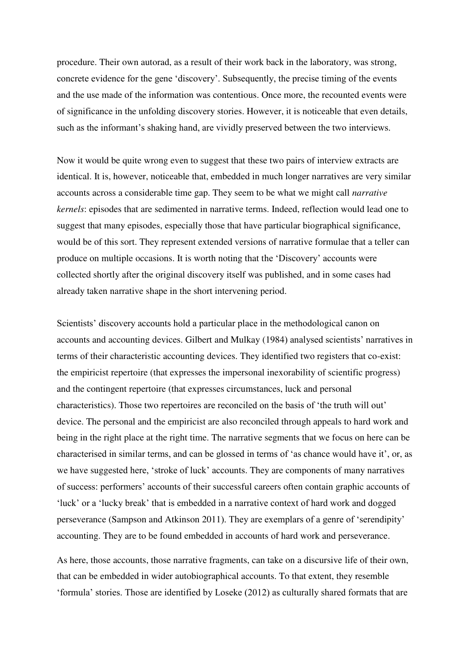procedure. Their own autorad, as a result of their work back in the laboratory, was strong, concrete evidence for the gene 'discovery'. Subsequently, the precise timing of the events and the use made of the information was contentious. Once more, the recounted events were of significance in the unfolding discovery stories. However, it is noticeable that even details, such as the informant's shaking hand, are vividly preserved between the two interviews.

Now it would be quite wrong even to suggest that these two pairs of interview extracts are identical. It is, however, noticeable that, embedded in much longer narratives are very similar accounts across a considerable time gap. They seem to be what we might call *narrative kernels*: episodes that are sedimented in narrative terms. Indeed, reflection would lead one to suggest that many episodes, especially those that have particular biographical significance, would be of this sort. They represent extended versions of narrative formulae that a teller can produce on multiple occasions. It is worth noting that the 'Discovery' accounts were collected shortly after the original discovery itself was published, and in some cases had already taken narrative shape in the short intervening period.

Scientists' discovery accounts hold a particular place in the methodological canon on accounts and accounting devices. Gilbert and Mulkay (1984) analysed scientists' narratives in terms of their characteristic accounting devices. They identified two registers that co-exist: the empiricist repertoire (that expresses the impersonal inexorability of scientific progress) and the contingent repertoire (that expresses circumstances, luck and personal characteristics). Those two repertoires are reconciled on the basis of 'the truth will out' device. The personal and the empiricist are also reconciled through appeals to hard work and being in the right place at the right time. The narrative segments that we focus on here can be characterised in similar terms, and can be glossed in terms of 'as chance would have it', or, as we have suggested here, 'stroke of luck' accounts. They are components of many narratives of success: performers' accounts of their successful careers often contain graphic accounts of 'luck' or a 'lucky break' that is embedded in a narrative context of hard work and dogged perseverance (Sampson and Atkinson 2011). They are exemplars of a genre of 'serendipity' accounting. They are to be found embedded in accounts of hard work and perseverance.

As here, those accounts, those narrative fragments, can take on a discursive life of their own, that can be embedded in wider autobiographical accounts. To that extent, they resemble 'formula' stories. Those are identified by Loseke (2012) as culturally shared formats that are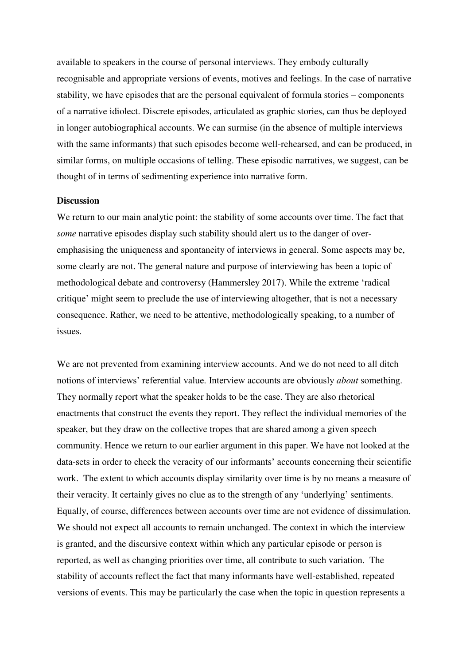available to speakers in the course of personal interviews. They embody culturally recognisable and appropriate versions of events, motives and feelings. In the case of narrative stability, we have episodes that are the personal equivalent of formula stories – components of a narrative idiolect. Discrete episodes, articulated as graphic stories, can thus be deployed in longer autobiographical accounts. We can surmise (in the absence of multiple interviews with the same informants) that such episodes become well-rehearsed, and can be produced, in similar forms, on multiple occasions of telling. These episodic narratives, we suggest, can be thought of in terms of sedimenting experience into narrative form.

#### **Discussion**

We return to our main analytic point: the stability of some accounts over time. The fact that *some* narrative episodes display such stability should alert us to the danger of overemphasising the uniqueness and spontaneity of interviews in general. Some aspects may be, some clearly are not. The general nature and purpose of interviewing has been a topic of methodological debate and controversy (Hammersley 2017). While the extreme 'radical critique' might seem to preclude the use of interviewing altogether, that is not a necessary consequence. Rather, we need to be attentive, methodologically speaking, to a number of issues.

We are not prevented from examining interview accounts. And we do not need to all ditch notions of interviews' referential value. Interview accounts are obviously *about* something. They normally report what the speaker holds to be the case. They are also rhetorical enactments that construct the events they report. They reflect the individual memories of the speaker, but they draw on the collective tropes that are shared among a given speech community. Hence we return to our earlier argument in this paper. We have not looked at the data-sets in order to check the veracity of our informants' accounts concerning their scientific work. The extent to which accounts display similarity over time is by no means a measure of their veracity. It certainly gives no clue as to the strength of any 'underlying' sentiments. Equally, of course, differences between accounts over time are not evidence of dissimulation. We should not expect all accounts to remain unchanged. The context in which the interview is granted, and the discursive context within which any particular episode or person is reported, as well as changing priorities over time, all contribute to such variation. The stability of accounts reflect the fact that many informants have well-established, repeated versions of events. This may be particularly the case when the topic in question represents a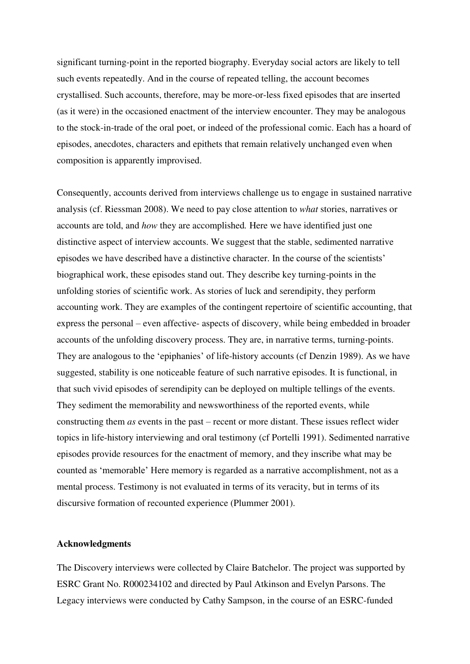significant turning-point in the reported biography. Everyday social actors are likely to tell such events repeatedly. And in the course of repeated telling, the account becomes crystallised. Such accounts, therefore, may be more-or-less fixed episodes that are inserted (as it were) in the occasioned enactment of the interview encounter. They may be analogous to the stock-in-trade of the oral poet, or indeed of the professional comic. Each has a hoard of episodes, anecdotes, characters and epithets that remain relatively unchanged even when composition is apparently improvised.

Consequently, accounts derived from interviews challenge us to engage in sustained narrative analysis (cf. Riessman 2008). We need to pay close attention to *what* stories, narratives or accounts are told, and *how* they are accomplished*.* Here we have identified just one distinctive aspect of interview accounts. We suggest that the stable, sedimented narrative episodes we have described have a distinctive character. In the course of the scientists' biographical work, these episodes stand out. They describe key turning-points in the unfolding stories of scientific work. As stories of luck and serendipity, they perform accounting work. They are examples of the contingent repertoire of scientific accounting, that express the personal – even affective- aspects of discovery, while being embedded in broader accounts of the unfolding discovery process. They are, in narrative terms, turning-points. They are analogous to the 'epiphanies' of life-history accounts (cf Denzin 1989). As we have suggested, stability is one noticeable feature of such narrative episodes. It is functional, in that such vivid episodes of serendipity can be deployed on multiple tellings of the events. They sediment the memorability and newsworthiness of the reported events, while constructing them *as* events in the past – recent or more distant. These issues reflect wider topics in life-history interviewing and oral testimony (cf Portelli 1991). Sedimented narrative episodes provide resources for the enactment of memory, and they inscribe what may be counted as 'memorable' Here memory is regarded as a narrative accomplishment, not as a mental process. Testimony is not evaluated in terms of its veracity, but in terms of its discursive formation of recounted experience (Plummer 2001).

# **Acknowledgments**

The Discovery interviews were collected by Claire Batchelor. The project was supported by ESRC Grant No. R000234102 and directed by Paul Atkinson and Evelyn Parsons. The Legacy interviews were conducted by Cathy Sampson, in the course of an ESRC-funded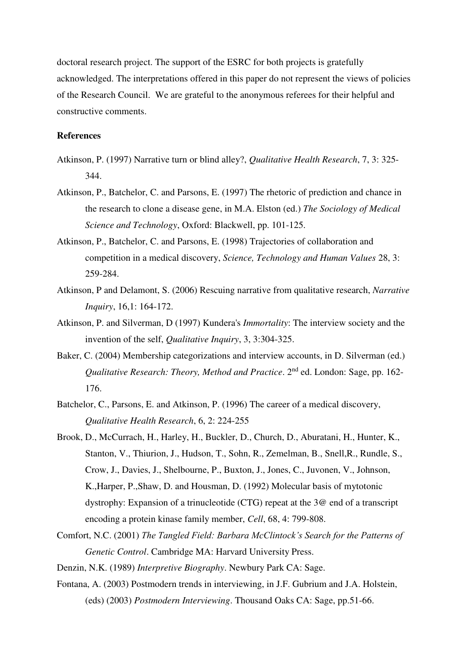doctoral research project. The support of the ESRC for both projects is gratefully acknowledged. The interpretations offered in this paper do not represent the views of policies of the Research Council. We are grateful to the anonymous referees for their helpful and constructive comments.

# **References**

- Atkinson, P. (1997) Narrative turn or blind alley?, *Qualitative Health Research*, 7, 3: 325- 344.
- Atkinson, P., Batchelor, C. and Parsons, E. (1997) The rhetoric of prediction and chance in the research to clone a disease gene, in M.A. Elston (ed.) *The Sociology of Medical Science and Technology*, Oxford: Blackwell, pp. 101-125.
- Atkinson, P., Batchelor, C. and Parsons, E. (1998) Trajectories of collaboration and competition in a medical discovery, *Science, Technology and Human Values* 28, 3: 259-284.
- Atkinson, P and Delamont, S. (2006) Rescuing narrative from qualitative research, *Narrative Inquiry*, 16,1: 164-172.
- Atkinson, P. and Silverman, D (1997) Kundera's *Immortality*: The interview society and the invention of the self, *Qualitative Inquiry*, 3, 3:304-325.
- Baker, C. (2004) Membership categorizations and interview accounts, in D. Silverman (ed.) *Qualitative Research: Theory, Method and Practice.* 2<sup>nd</sup> ed. London: Sage, pp. 162-176.
- Batchelor, C., Parsons, E. and Atkinson, P. (1996) The career of a medical discovery, *Qualitative Health Research*, 6, 2: 224-255
- Brook, D., McCurrach, H., Harley, H., Buckler, D., Church, D., Aburatani, H., Hunter, K., Stanton, V., Thiurion, J., Hudson, T., Sohn, R., Zemelman, B., Snell,R., Rundle, S., Crow, J., Davies, J., Shelbourne, P., Buxton, J., Jones, C., Juvonen, V., Johnson, K.,Harper, P.,Shaw, D. and Housman, D. (1992) Molecular basis of mytotonic dystrophy: Expansion of a trinucleotide (CTG) repeat at the 3@ end of a transcript encoding a protein kinase family member, *Cell*, 68, 4: 799-808.
- Comfort, N.C. (2001) *The Tangled Field: Barbara McClintock's Search for the Patterns of Genetic Control*. Cambridge MA: Harvard University Press.
- Denzin, N.K. (1989) *Interpretive Biography*. Newbury Park CA: Sage.
- Fontana, A. (2003) Postmodern trends in interviewing, in J.F. Gubrium and J.A. Holstein, (eds) (2003) *Postmodern Interviewing*. Thousand Oaks CA: Sage, pp.51-66.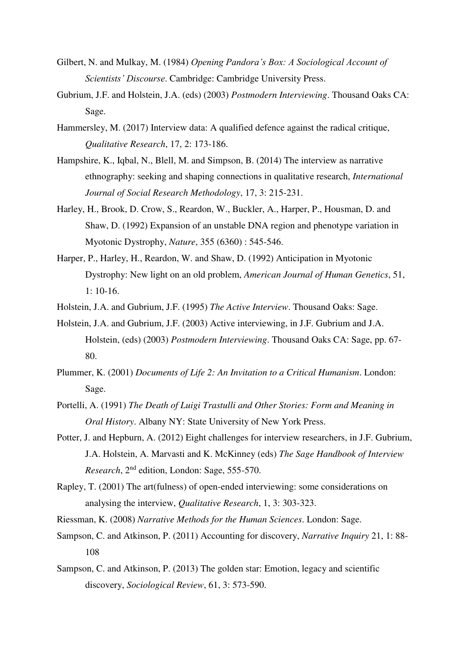- Gilbert, N. and Mulkay, M. (1984) *Opening Pandora's Box: A Sociological Account of Scientists' Discourse*. Cambridge: Cambridge University Press.
- Gubrium, J.F. and Holstein, J.A. (eds) (2003) *Postmodern Interviewing*. Thousand Oaks CA: Sage.
- Hammersley, M. (2017) Interview data: A qualified defence against the radical critique, *Qualitative Research*, 17, 2: 173-186.
- Hampshire, K., Iqbal, N., Blell, M. and Simpson, B. (2014) The interview as narrative ethnography: seeking and shaping connections in qualitative research, *International Journal of Social Research Methodology*, 17, 3: 215-231.
- Harley, H., Brook, D. Crow, S., Reardon, W., Buckler, A., Harper, P., Housman, D. and Shaw, D. (1992) Expansion of an unstable DNA region and phenotype variation in Myotonic Dystrophy, *Nature*, 355 (6360) : 545-546.
- Harper, P., Harley, H., Reardon, W. and Shaw, D. (1992) Anticipation in Myotonic Dystrophy: New light on an old problem, *American Journal of Human Genetics*, 51, 1: 10-16.
- Holstein, J.A. and Gubrium, J.F. (1995) *The Active Interview*. Thousand Oaks: Sage.
- Holstein, J.A. and Gubrium, J.F. (2003) Active interviewing, in J.F. Gubrium and J.A. Holstein, (eds) (2003) *Postmodern Interviewing*. Thousand Oaks CA: Sage, pp. 67- 80.
- Plummer, K. (2001) *Documents of Life 2: An Invitation to a Critical Humanism*. London: Sage.
- Portelli, A. (1991) *The Death of Luigi Trastulli and Other Stories: Form and Meaning in Oral History*. Albany NY: State University of New York Press.
- Potter, J. and Hepburn, A. (2012) Eight challenges for interview researchers, in J.F. Gubrium, J.A. Holstein, A. Marvasti and K. McKinney (eds) *The Sage Handbook of Interview Research*, 2nd edition, London: Sage, 555-570.
- Rapley, T. (2001) The art(fulness) of open-ended interviewing: some considerations on analysing the interview, *Qualitative Research*, 1, 3: 303-323.
- Riessman, K. (2008) *Narrative Methods for the Human Sciences*. London: Sage.
- Sampson, C. and Atkinson, P. (2011) Accounting for discovery, *Narrative Inquiry* 21, 1: 88- 108
- Sampson, C. and Atkinson, P. (2013) The golden star: Emotion, legacy and scientific discovery, *Sociological Review*, 61, 3: 573-590.